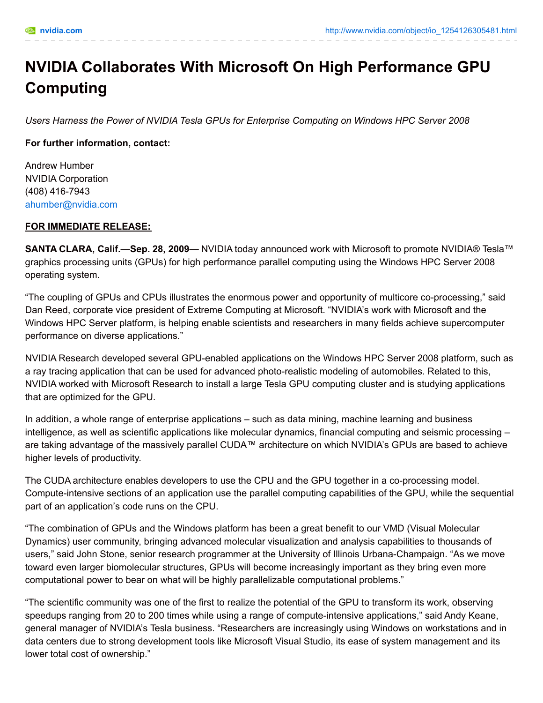# **NVIDIA Collaborates With Microsoft On High Performance GPU Computing**

*Users Harness the Power of NVIDIA Tesla GPUs for Enterprise Computing on Windows HPC Server 2008*

## **For further information, contact:**

Andrew Humber NVIDIA Corporation (408) 416-7943 [ahumber@nvidia.com](mailto:ahumber@nvidia.com)

## **FOR IMMEDIATE RELEASE:**

**SANTA CLARA, Calif.—Sep. 28, 2009—** NVIDIA today announced work with Microsoft to promote NVIDIA® Tesla™ graphics processing units (GPUs) for high performance parallel computing using the Windows HPC Server 2008 operating system.

"The coupling of GPUs and CPUs illustrates the enormous power and opportunity of multicore co-processing," said Dan Reed, corporate vice president of Extreme Computing at Microsoft. "NVIDIA's work with Microsoft and the Windows HPC Server platform, is helping enable scientists and researchers in many fields achieve supercomputer performance on diverse applications."

NVIDIA Research developed several GPU-enabled applications on the Windows HPC Server 2008 platform, such as a ray tracing application that can be used for advanced photo-realistic modeling of automobiles. Related to this, NVIDIA worked with Microsoft Research to install a large Tesla GPU computing cluster and is studying applications that are optimized for the GPU.

In addition, a whole range of enterprise applications – such as data mining, machine learning and business intelligence, as well as scientific applications like molecular dynamics, financial computing and seismic processing – are taking advantage of the massively parallel CUDA™ architecture on which NVIDIA's GPUs are based to achieve higher levels of productivity.

The CUDA architecture enables developers to use the CPU and the GPU together in a co-processing model. Compute-intensive sections of an application use the parallel computing capabilities of the GPU, while the sequential part of an application's code runs on the CPU.

"The combination of GPUs and the Windows platform has been a great benefit to our VMD (Visual Molecular Dynamics) user community, bringing advanced molecular visualization and analysis capabilities to thousands of users," said John Stone, senior research programmer at the University of Illinois Urbana-Champaign. "As we move toward even larger biomolecular structures, GPUs will become increasingly important as they bring even more computational power to bear on what will be highly parallelizable computational problems."

"The scientific community was one of the first to realize the potential of the GPU to transform its work, observing speedups ranging from 20 to 200 times while using a range of compute-intensive applications," said Andy Keane, general manager of NVIDIA's Tesla business. "Researchers are increasingly using Windows on workstations and in data centers due to strong development tools like Microsoft Visual Studio, its ease of system management and its lower total cost of ownership."